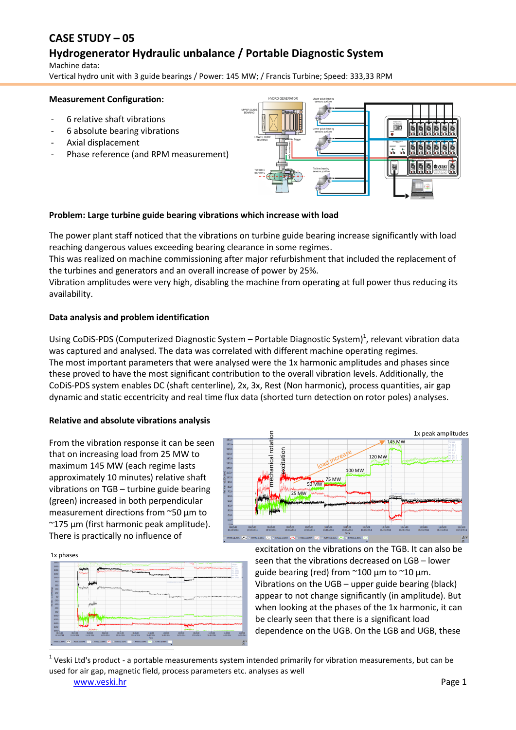# **CASE STUDY – 05**

# **Hydrogenerator Hydraulic unbalance / Portable Diagnostic System**

Machine data: Vertical hydro unit with 3 guide bearings / Power: 145 MW; / Francis Turbine; Speed: 333,33 RPM

#### **Measurement Configuration:**

- 6 relative shaft vibrations
- 6 absolute bearing vibrations
- Axial displacement
- Phase reference (and RPM measurement)



### **Problem: Large turbine guide bearing vibrations which increase with load**

The power plant staff noticed that the vibrations on turbine guide bearing increase significantly with load reaching dangerous values exceeding bearing clearance in some regimes.

This was realized on machine commissioning after major refurbishment that included the replacement of the turbines and generators and an overall increase of power by 25%.

Vibration amplitudes were very high, disabling the machine from operating at full power thus reducing its availability.

### **Data analysis and problem identification**

Using CoDiS-PDS (Computerized Diagnostic System  $-$  Portable Diagnostic System)<sup>1</sup>, relevant vibration data was captured and analysed. The data was correlated with different machine operating regimes. The most important parameters that were analysed were the 1x harmonic amplitudes and phases since these proved to have the most significant contribution to the overall vibration levels. Additionally, the CoDiS-PDS system enables DC (shaft centerline), 2x, 3x, Rest (Non harmonic), process quantities, air gap dynamic and static eccentricity and real time flux data (shorted turn detection on rotor poles) analyses.

### **Relative and absolute vibrations analysis**

From the vibration response it can be seen that on increasing load from 25 MW to maximum 145 MW (each regime lasts approximately 10 minutes) relative shaft vibrations on TGB – turbine guide bearing (green) increased in both perpendicular measurement directions from ~50 µm to ~175 µm (first harmonic peak amplitude). There is practically no influence of

25 MW 50 MW **HAMMAN** 100 MW 120 MW 145 MW 1x peak amplitudes excitation

1x phases



excitation on the vibrations on the TGB. It can also be seen that the vibrations decreased on LGB – lower guide bearing (red) from ~100 µm to ~10 µm. Vibrations on the UGB – upper guide bearing (black) appear to not change significantly (in amplitude). But when looking at the phases of the 1x harmonic, it can be clearly seen that there is a significant load dependence on the UGB. On the LGB and UGB, these

1 Veski Ltd's product - a portable measurements system intended primarily for vibration measurements, but can be

#### [www.veski.hr](http://www.veski.hr/) Page 1